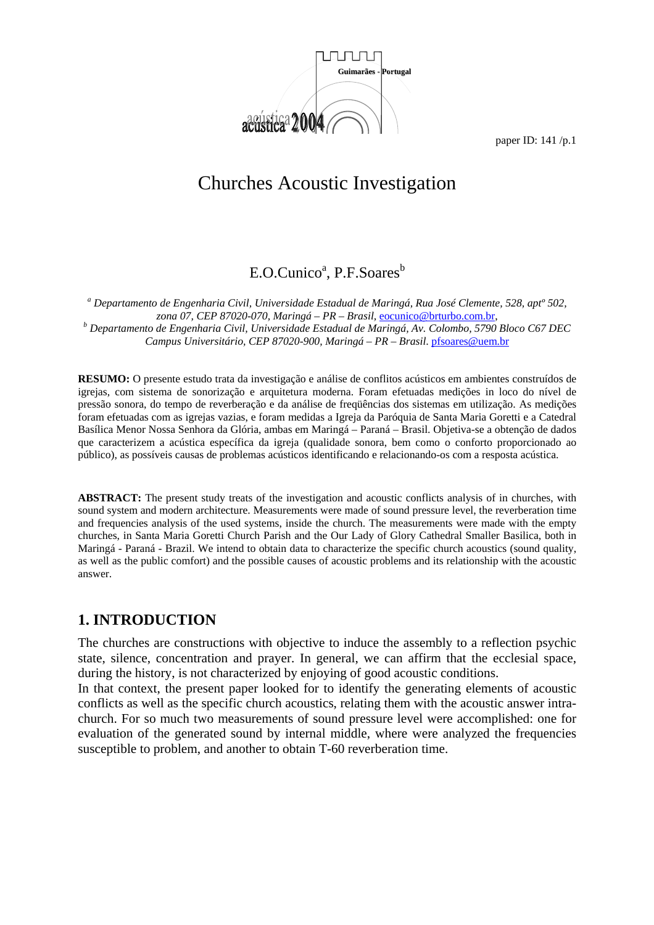

# Churches Acoustic Investigation

# E.O.Cunico<sup>a</sup>, P.F.Soares<sup>b</sup>

*a Departamento de Engenharia Civil, Universidade Estadual de Maringá, Rua José Clemente, 528, aptº 502, zona 07, CEP 87020-070, Maringá – PR – Brasil,* eocunico@brturbo.com.br, *<sup>b</sup> Departamento de Engenharia Civil, Universidade Estadual de Maringá, Av. Colombo, 5790 Bloco C67 DEC Campus Universitário, CEP 87020-900, Maringá – PR – Brasil.* pfsoares@uem.br

**RESUMO:** O presente estudo trata da investigação e análise de conflitos acústicos em ambientes construídos de igrejas, com sistema de sonorização e arquitetura moderna. Foram efetuadas medições in loco do nível de pressão sonora, do tempo de reverberação e da análise de freqüências dos sistemas em utilização. As medições foram efetuadas com as igrejas vazias, e foram medidas a Igreja da Paróquia de Santa Maria Goretti e a Catedral Basílica Menor Nossa Senhora da Glória, ambas em Maringá – Paraná – Brasil. Objetiva-se a obtenção de dados que caracterizem a acústica específica da igreja (qualidade sonora, bem como o conforto proporcionado ao público), as possíveis causas de problemas acústicos identificando e relacionando-os com a resposta acústica.

**ABSTRACT:** The present study treats of the investigation and acoustic conflicts analysis of in churches, with sound system and modern architecture. Measurements were made of sound pressure level, the reverberation time and frequencies analysis of the used systems, inside the church. The measurements were made with the empty churches, in Santa Maria Goretti Church Parish and the Our Lady of Glory Cathedral Smaller Basilica, both in Maringá - Paraná - Brazil. We intend to obtain data to characterize the specific church acoustics (sound quality, as well as the public comfort) and the possible causes of acoustic problems and its relationship with the acoustic answer.

### **1. INTRODUCTION**

The churches are constructions with objective to induce the assembly to a reflection psychic state, silence, concentration and prayer. In general, we can affirm that the ecclesial space, during the history, is not characterized by enjoying of good acoustic conditions.

In that context, the present paper looked for to identify the generating elements of acoustic conflicts as well as the specific church acoustics, relating them with the acoustic answer intrachurch. For so much two measurements of sound pressure level were accomplished: one for evaluation of the generated sound by internal middle, where were analyzed the frequencies susceptible to problem, and another to obtain T-60 reverberation time.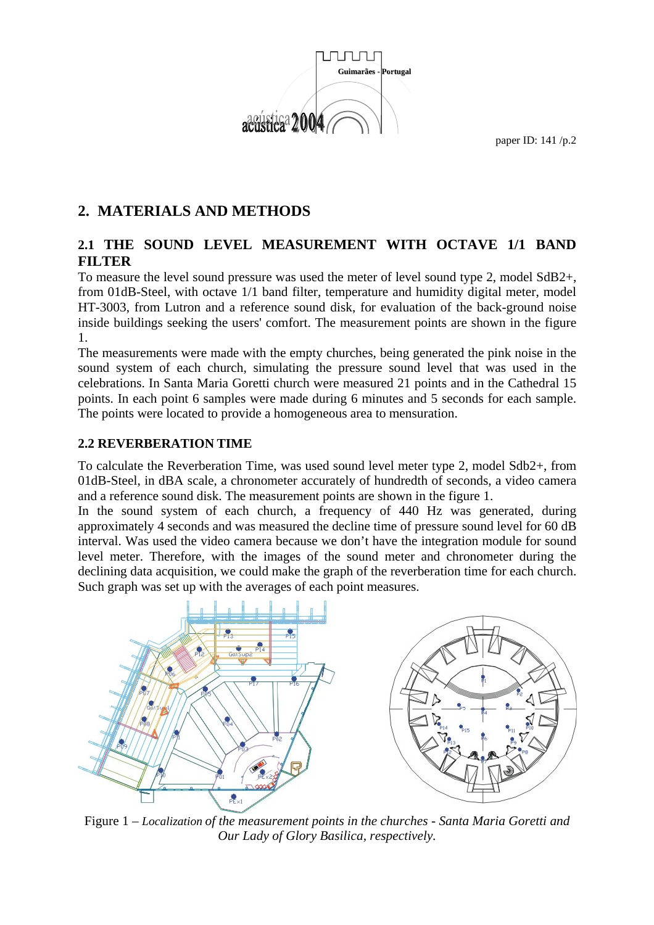

## **2. MATERIALS AND METHODS**

### **2.1 THE SOUND LEVEL MEASUREMENT WITH OCTAVE 1/1 BAND FILTER**

To measure the level sound pressure was used the meter of level sound type 2, model SdB2+, from 01dB-Steel, with octave 1/1 band filter, temperature and humidity digital meter, model HT-3003, from Lutron and a reference sound disk, for evaluation of the back-ground noise inside buildings seeking the users' comfort. The measurement points are shown in the figure 1.

The measurements were made with the empty churches, being generated the pink noise in the sound system of each church, simulating the pressure sound level that was used in the celebrations. In Santa Maria Goretti church were measured 21 points and in the Cathedral 15 points. In each point 6 samples were made during 6 minutes and 5 seconds for each sample. The points were located to provide a homogeneous area to mensuration.

#### **2.2 REVERBERATION TIME**

To calculate the Reverberation Time, was used sound level meter type 2, model Sdb2+, from 01dB-Steel, in dBA scale, a chronometer accurately of hundredth of seconds, a video camera and a reference sound disk. The measurement points are shown in the figure 1.

In the sound system of each church, a frequency of 440 Hz was generated, during approximately 4 seconds and was measured the decline time of pressure sound level for 60 dB interval. Was used the video camera because we don't have the integration module for sound level meter. Therefore, with the images of the sound meter and chronometer during the declining data acquisition, we could make the graph of the reverberation time for each church. Such graph was set up with the averages of each point measures.



Figure 1 *– Localization of the measurement points in the churches - Santa Maria Goretti and Our Lady of Glory Basilica, respectively.*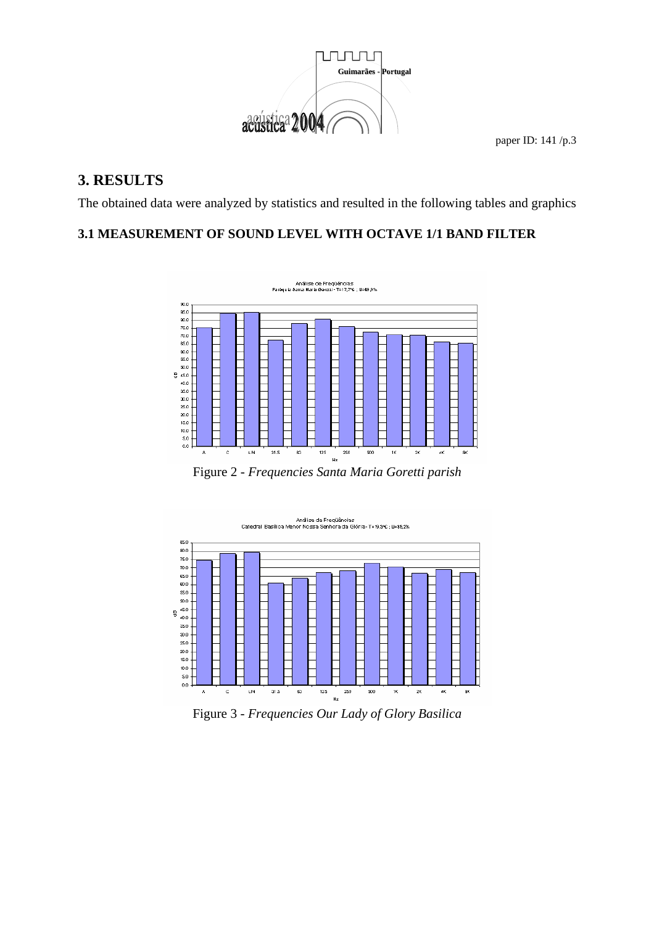

# **3. RESULTS**

The obtained data were analyzed by statistics and resulted in the following tables and graphics

### **3.1 MEASUREMENT OF SOUND LEVEL WITH OCTAVE 1/1 BAND FILTER**



Figure 2 *- Frequencies Santa Maria Goretti parish* 



Figure 3 - *Frequencies Our Lady of Glory Basilica*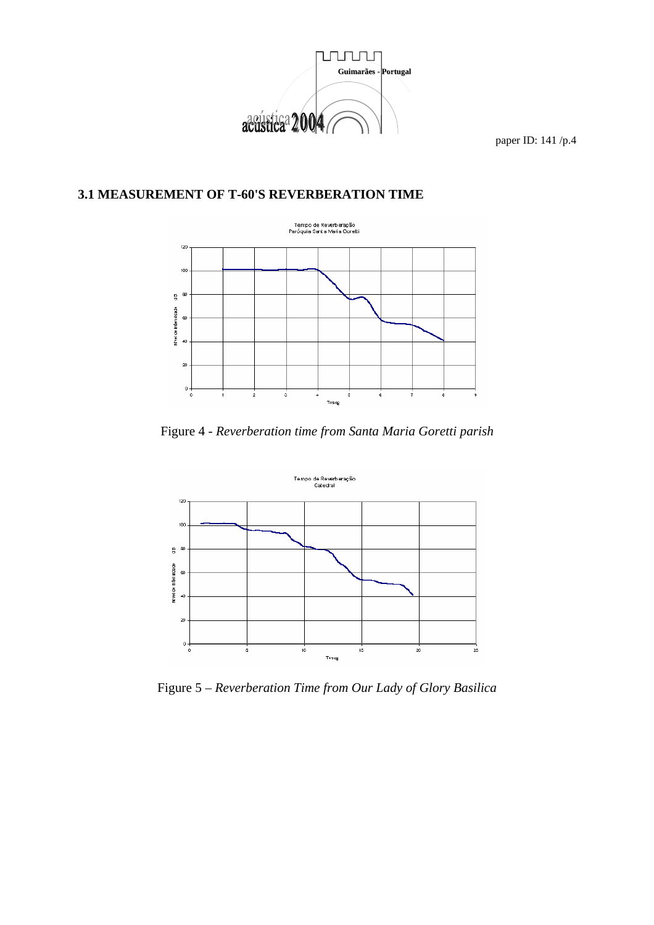

### **3.1 MEASUREMENT OF T-60'S REVERBERATION TIME**



Figure 4 *- Reverberation time from Santa Maria Goretti parish* 



Figure 5 – *Reverberation Time from Our Lady of Glory Basilica*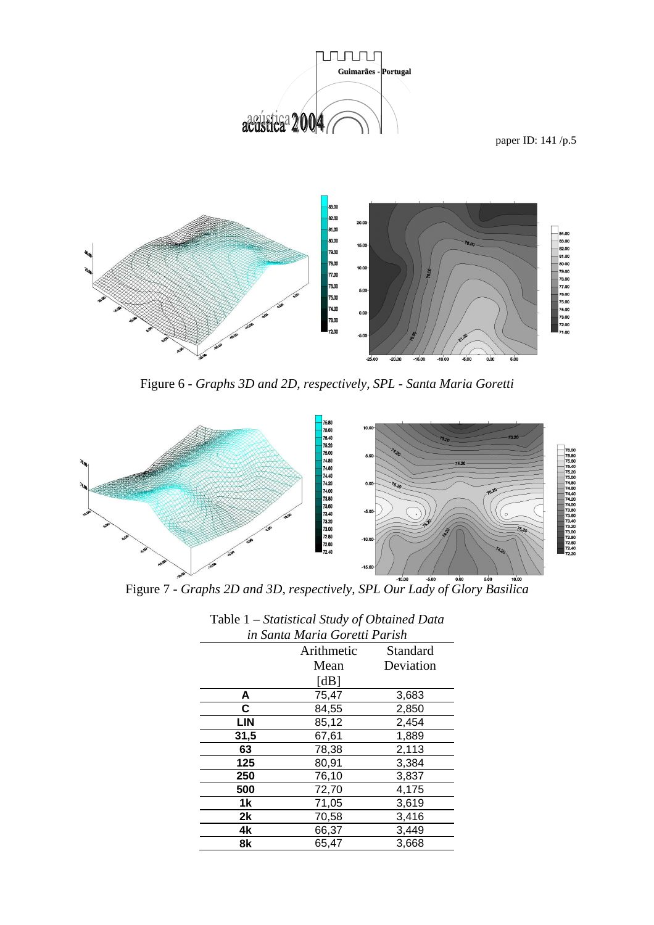

paper ID: 141 /p.5



Figure 6 - *Graphs 3D and 2D, respectively, SPL - Santa Maria Goretti*



**Figure 7** - *Graphs 2D and 3D, respectively, SPL Our Lady of Glory Basilica* 

|                               | Tasix 1 - Bhunsheun Bhnu y of Obhumeu Buhu |           |
|-------------------------------|--------------------------------------------|-----------|
| in Santa Maria Goretti Parish |                                            |           |
|                               | Arithmetic                                 | Standard  |
|                               | Mean                                       | Deviation |
|                               | [dB]                                       |           |
| A                             | 75,47                                      | 3,683     |
| C                             | 84,55                                      | 2,850     |
| <b>LIN</b>                    | 85,12                                      | 2,454     |
| 31,5                          | 67,61                                      | 1,889     |
| 63                            | 78,38                                      | 2,113     |
| 125                           | 80,91                                      | 3,384     |
| 250                           | 76,10                                      | 3,837     |
| 500                           | 72,70                                      | 4,175     |
| 1k                            | 71,05                                      | 3,619     |
| 2k                            | 70,58                                      | 3,416     |
| 4k                            | 66,37                                      | 3,449     |
| 8k                            | 65,47                                      | 3,668     |
|                               |                                            |           |

| Table 1 – Statistical Study of Obtained Data |  |  |
|----------------------------------------------|--|--|
| in Santa Maria Goretti Parish                |  |  |